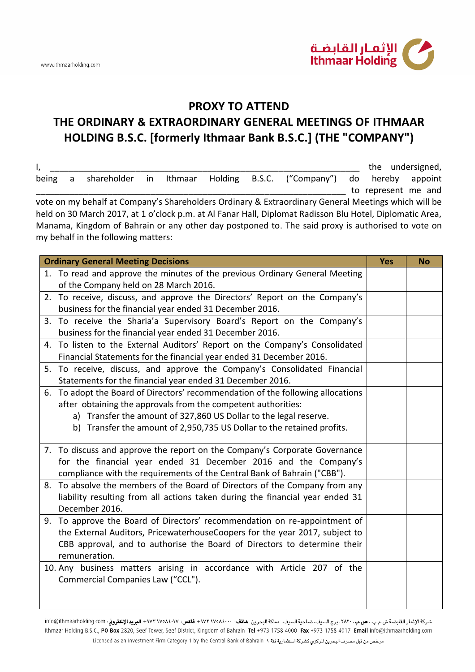

## **PROXY TO ATTEND THE ORDINARY & EXTRAORDINARY GENERAL MEETINGS OF ITHMAAR HOLDING B.S.C. [formerly Ithmaar Bank B.S.C.] (THE "COMPANY")**

| I,    |   |                                     |  |  |                                                                                                          |                     | the undersigned, |
|-------|---|-------------------------------------|--|--|----------------------------------------------------------------------------------------------------------|---------------------|------------------|
| being | a |                                     |  |  | shareholder in Ithmaar Holding B.S.C. ("Company") do hereby                                              |                     | appoint          |
|       |   |                                     |  |  |                                                                                                          | to represent me and |                  |
|       |   |                                     |  |  | vote on my behalf at Company's Shareholders Ordinary & Extraordinary General Meetings which will be      |                     |                  |
|       |   |                                     |  |  | held on 30 March 2017, at 1 o'clock p.m. at Al Fanar Hall, Diplomat Radisson Blu Hotel, Diplomatic Area, |                     |                  |
|       |   |                                     |  |  | Manama, Kingdom of Bahrain or any other day postponed to. The said proxy is authorised to vote on        |                     |                  |
|       |   | my behalf in the following matters: |  |  |                                                                                                          |                     |                  |

| <b>Ordinary General Meeting Decisions</b>                                       | <b>Yes</b> | <b>No</b> |
|---------------------------------------------------------------------------------|------------|-----------|
| 1. To read and approve the minutes of the previous Ordinary General Meeting     |            |           |
| of the Company held on 28 March 2016.                                           |            |           |
| 2. To receive, discuss, and approve the Directors' Report on the Company's      |            |           |
| business for the financial year ended 31 December 2016.                         |            |           |
| 3. To receive the Sharia'a Supervisory Board's Report on the Company's          |            |           |
| business for the financial year ended 31 December 2016.                         |            |           |
| 4. To listen to the External Auditors' Report on the Company's Consolidated     |            |           |
| Financial Statements for the financial year ended 31 December 2016.             |            |           |
| 5. To receive, discuss, and approve the Company's Consolidated Financial        |            |           |
| Statements for the financial year ended 31 December 2016.                       |            |           |
| 6. To adopt the Board of Directors' recommendation of the following allocations |            |           |
| after obtaining the approvals from the competent authorities:                   |            |           |
| a) Transfer the amount of 327,860 US Dollar to the legal reserve.               |            |           |
| b) Transfer the amount of 2,950,735 US Dollar to the retained profits.          |            |           |
|                                                                                 |            |           |
| 7. To discuss and approve the report on the Company's Corporate Governance      |            |           |
| for the financial year ended 31 December 2016 and the Company's                 |            |           |
| compliance with the requirements of the Central Bank of Bahrain ("CBB").        |            |           |
| 8. To absolve the members of the Board of Directors of the Company from any     |            |           |
| liability resulting from all actions taken during the financial year ended 31   |            |           |
| December 2016.                                                                  |            |           |
| 9. To approve the Board of Directors' recommendation on re-appointment of       |            |           |
| the External Auditors, PricewaterhouseCoopers for the year 2017, subject to     |            |           |
| CBB approval, and to authorise the Board of Directors to determine their        |            |           |
| remuneration.                                                                   |            |           |
| 10. Any business matters arising in accordance with Article 207 of the          |            |           |
| Commercial Companies Law ("CCL").                                               |            |           |
|                                                                                 |            |           |
|                                                                                 |            |           |

شركة الإثمار القابضة ش.م.ب. ص**ب. ٢٨٢٠، ب**رج السيف، ضاحية السيف، مملكة البحرين ه**اتف: ٩٧٣١٧٥٨٤٠٠٠ فاكس: ٩٧٣١٧٥٨٤٠١٧ + البريد الإلكتروني: info@ithmaarholding.com** Ithmaar Holding B.S.C., PO Box 2820, Seef Tower, Seef District, Kingdom of Bahrain Tel +973 1758 4000 Fax +973 1758 4017 Email info@ithmaarholding.com مرخص من قبل مصرف البحرين المركزي كشركة استثمارية فنة د Licensed as an Investment Firm Category 1 by the Central Bank of Bahrain